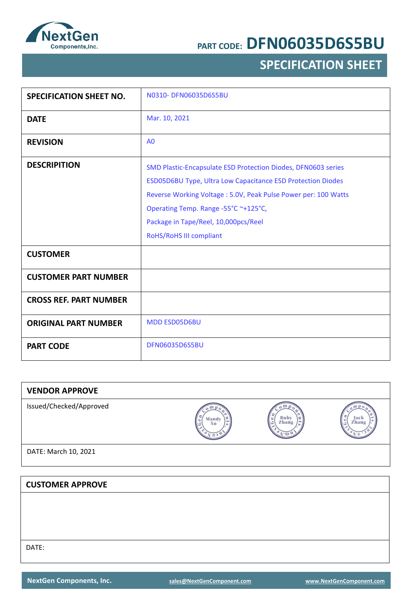

# **SPECIFICATION SHEET**

| <b>SPECIFICATION SHEET NO.</b> | N0310- DFN06035D6S5BU                                                                                                                                                                                                                                                                                     |
|--------------------------------|-----------------------------------------------------------------------------------------------------------------------------------------------------------------------------------------------------------------------------------------------------------------------------------------------------------|
| <b>DATE</b>                    | Mar. 10, 2021                                                                                                                                                                                                                                                                                             |
| <b>REVISION</b>                | A <sub>0</sub>                                                                                                                                                                                                                                                                                            |
| <b>DESCRIPITION</b>            | SMD Plastic-Encapsulate ESD Protection Diodes, DFN0603 series<br>ESD05D6BU Type, Ultra Low Capacitance ESD Protection Diodes<br>Reverse Working Voltage: 5.0V, Peak Pulse Power per: 100 Watts<br>Operating Temp. Range -55°C ~+125°C,<br>Package in Tape/Reel, 10,000pcs/Reel<br>RoHS/RoHS III compliant |
| <b>CUSTOMER</b>                |                                                                                                                                                                                                                                                                                                           |
| <b>CUSTOMER PART NUMBER</b>    |                                                                                                                                                                                                                                                                                                           |
| <b>CROSS REF. PART NUMBER</b>  |                                                                                                                                                                                                                                                                                                           |
| <b>ORIGINAL PART NUMBER</b>    | <b>MDD ESD05D6BU</b>                                                                                                                                                                                                                                                                                      |
| <b>PART CODE</b>               | <b>DFN06035D6S5BU</b>                                                                                                                                                                                                                                                                                     |

| <b>VENDOR APPROVE</b>   |             |               |              |
|-------------------------|-------------|---------------|--------------|
| Issued/Checked/Approved | Mandy<br>Хu | Ruby<br>Zhang | Jac<br>Zhang |
| DATE: March 10, 2021    |             |               |              |
|                         |             |               |              |
| <b>CUSTOMER APPROVE</b> |             |               |              |
|                         |             |               |              |
|                         |             |               |              |

DATE: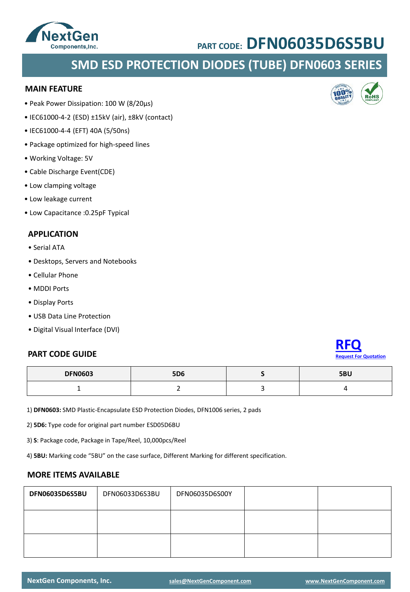### **SMD ESD PROTECTION DIODES (TUBE) DFN0603 SERIES**

#### **MAIN FEATURE**

- Peak Power Dissipation: 100 W (8/20µs)
- IEC61000-4-2 (ESD) ±15kV (air), ±8kV (contact)
- IEC61000-4-4 (EFT) 40A (5/50ns)
- Package optimized for high-speed lines
- Working Voltage: 5V
- Cable Discharge Event(CDE)
- Low clamping voltage
- Low leakage current
- Low Capacitance :0.25pF Typical

#### **APPLICATION**

- Serial ATA
- Desktops, Servers and Notebooks
- Cellular Phone
- MDDI Ports
- Display Ports
- USB Data Line Protection
- Digital Visual Interface (DVI)

#### **PART CODE GUIDE**

| <b>DFN0603</b> | <b>5D6</b> | 5BU |
|----------------|------------|-----|
|                |            |     |

1) **DFN0603:** SMD Plastic-Encapsulate ESD Protection Diodes, DFN1006 series, 2 pads

2) **5D6:** Type code for original part number ESD05D6BU

3) **S**: Package code, Package in Tape/Reel, 10,000pcs/Reel

4) **5BU:** Marking code "5BU" on the case surface, Different Marking for different specification.

#### **MORE ITEMS AVAILABLE**

| DFN06035D6S5BU | DFN06033D6S3BU | DFN06035D6S00Y |  |
|----------------|----------------|----------------|--|
|                |                |                |  |
|                |                |                |  |









**[Request For Quotation](mailto:sales@NextGenComponent.com?subject=RFQ%20for%20PART%20CODE:%DFN06035D6S5BU)**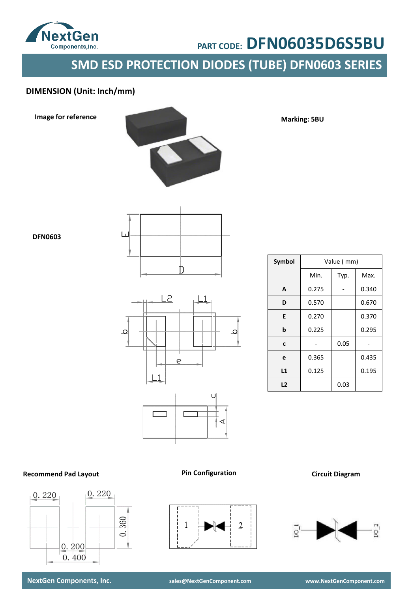

# **SMD ESD PROTECTION DIODES (TUBE) DFN0603 SERIES**

### **DIMENSION (Unit: Inch/mm)**

**Image for reference**



**Marking: 5BU**

**DFN0603**





| Symbol |       | Value (mm) |       |
|--------|-------|------------|-------|
|        | Min.  | Typ.       | Max.  |
| А      | 0.275 |            | 0.340 |
| D      | 0.570 |            | 0.670 |
| E      | 0.270 |            | 0.370 |
| b      | 0.225 |            | 0.295 |
| C      |       | 0.05       |       |
| e      | 0.365 |            | 0.435 |
| L1     | 0.125 |            | 0.195 |
| L2     |       | 0.03       |       |

#### **Recommend Pad Layout**



**Pin Configuration Circuit Diagram**

▶K

 $\overline{2}$ 

1



**NextGen Components, Inc. [sales@NextGenComponent.com](mailto:sales@NextGenComponent.com) [www.NextGenComponent.com](http://www.nextgencomponent.com/)**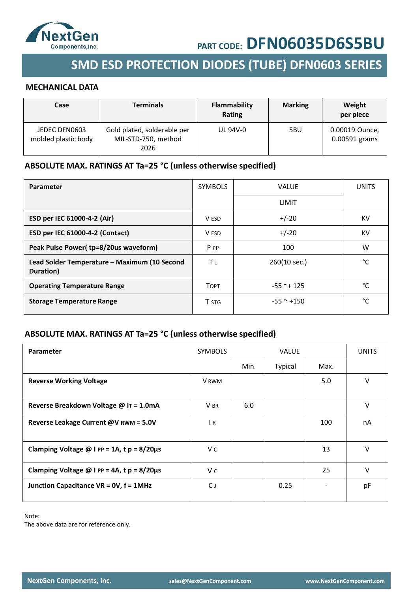

# **SMD ESD PROTECTION DIODES (TUBE) DFN0603 SERIES**

#### **MECHANICAL DATA**

| Case                                 | <b>Terminals</b>                                           | Flammability<br>Rating | <b>Marking</b> | Weight<br>per piece             |
|--------------------------------------|------------------------------------------------------------|------------------------|----------------|---------------------------------|
| JEDEC DFN0603<br>molded plastic body | Gold plated, solderable per<br>MIL-STD-750, method<br>2026 | <b>UL 94V-0</b>        | 5BU            | 0.00019 Ounce,<br>0.00591 grams |

### **ABSOLUTE MAX. RATINGS AT Ta=25 °C (unless otherwise specified)**

| Parameter                                                 | <b>SYMBOLS</b> | <b>VALUE</b>   | <b>UNITS</b> |
|-----------------------------------------------------------|----------------|----------------|--------------|
|                                                           |                | LIMIT          |              |
| ESD per IEC 61000-4-2 (Air)                               | V ESD          | $+/-20$        | KV           |
| ESD per IEC 61000-4-2 (Contact)                           | V ESD          | $+/-20$        | KV           |
| Peak Pulse Power(tp=8/20us waveform)                      | P PP           | 100            | W            |
| Lead Solder Temperature – Maximum (10 Second<br>Duration) | Tι             | 260(10 sec.)   | °C           |
| <b>Operating Temperature Range</b>                        | <b>TOPT</b>    | $-55$ ~+ 125   | °C           |
| <b>Storage Temperature Range</b>                          | T STG          | $-55$ ~ $+150$ | °C           |

#### **ABSOLUTE MAX. RATINGS AT Ta=25 °C (unless otherwise specified)**

| <b>Parameter</b>                                        | <b>SYMBOLS</b> | <b>VALUE</b> |                |      | <b>UNITS</b> |
|---------------------------------------------------------|----------------|--------------|----------------|------|--------------|
|                                                         |                | Min.         | <b>Typical</b> | Max. |              |
| <b>Reverse Working Voltage</b>                          | <b>V</b> RWM   |              |                | 5.0  | V            |
| Reverse Breakdown Voltage @ IT = 1.0mA                  | V BR           | 6.0          |                |      | V            |
| Reverse Leakage Current @V RWM = 5.0V                   | $\overline{R}$ |              |                | 100  | nA           |
| Clamping Voltage $@$ I PP = 1A, t p = 8/20 $\mu$ s      | V c            |              |                | 13   | v            |
| Clamping Voltage $\omega$ I PP = 4A, t p = 8/20 $\mu$ s | V c            |              |                | 25   | V            |
| Junction Capacitance VR = 0V, f = 1MHz                  | C J            |              | 0.25           |      | pF           |

Note:

The above data are for reference only.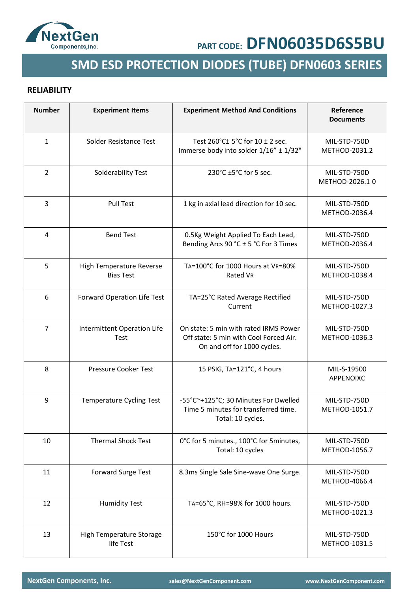

# **SMD ESD PROTECTION DIODES (TUBE) DFN0603 SERIES**

#### **RELIABILITY**

| <b>Number</b>  | <b>Experiment Items</b>                      | <b>Experiment Method And Conditions</b>                                                                        | Reference<br><b>Documents</b>  |
|----------------|----------------------------------------------|----------------------------------------------------------------------------------------------------------------|--------------------------------|
| $\mathbf{1}$   | Solder Resistance Test                       | Test 260°C± 5°C for 10 ± 2 sec.<br>Immerse body into solder 1/16" ± 1/32"                                      | MIL-STD-750D<br>METHOD-2031.2  |
| 2              | Solderability Test                           | 230°C ±5°C for 5 sec.                                                                                          | MIL-STD-750D<br>METHOD-2026.10 |
| 3              | <b>Pull Test</b>                             | 1 kg in axial lead direction for 10 sec.                                                                       | MIL-STD-750D<br>METHOD-2036.4  |
| 4              | <b>Bend Test</b>                             | 0.5Kg Weight Applied To Each Lead,<br>Bending Arcs 90 °C ± 5 °C For 3 Times                                    | MIL-STD-750D<br>METHOD-2036.4  |
| 5              | High Temperature Reverse<br><b>Bias Test</b> | TA=100°C for 1000 Hours at VR=80%<br>Rated VR                                                                  | MIL-STD-750D<br>METHOD-1038.4  |
| 6              | Forward Operation Life Test                  | TA=25°C Rated Average Rectified<br>Current                                                                     | MIL-STD-750D<br>METHOD-1027.3  |
| $\overline{7}$ | Intermittent Operation Life<br>Test          | On state: 5 min with rated IRMS Power<br>Off state: 5 min with Cool Forced Air.<br>On and off for 1000 cycles. | MIL-STD-750D<br>METHOD-1036.3  |
| 8              | Pressure Cooker Test                         | 15 PSIG, TA=121°C, 4 hours                                                                                     | MIL-S-19500<br>APPENOIXC       |
| 9              | <b>Temperature Cycling Test</b>              | -55°C~+125°C; 30 Minutes For Dwelled<br>Time 5 minutes for transferred time.<br>Total: 10 cycles.              | MIL-STD-750D<br>METHOD-1051.7  |
| 10             | <b>Thermal Shock Test</b>                    | 0°C for 5 minutes., 100°C for 5 minutes,<br>Total: 10 cycles                                                   | MIL-STD-750D<br>METHOD-1056.7  |
| 11             | Forward Surge Test                           | 8.3ms Single Sale Sine-wave One Surge.                                                                         | MIL-STD-750D<br>METHOD-4066.4  |
| 12             | <b>Humidity Test</b>                         | TA=65°C, RH=98% for 1000 hours.                                                                                | MIL-STD-750D<br>METHOD-1021.3  |
| 13             | High Temperature Storage<br>life Test        | 150°C for 1000 Hours                                                                                           | MIL-STD-750D<br>METHOD-1031.5  |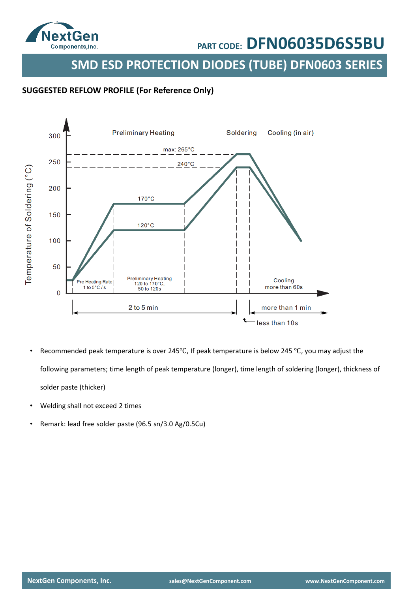

**SMD ESD PROTECTION DIODES (TUBE) DFN0603 SERIES**

#### **SUGGESTED REFLOW PROFILE (For Reference Only)**



- Recommended peak temperature is over 245℃, If peak temperature is below 245 ℃, you may adjust the following parameters; time length of peak temperature (longer), time length of soldering (longer), thickness of solder paste (thicker)
- Welding shall not exceed 2 times
- Remark: lead free solder paste (96.5 sn/3.0 Ag/0.5Cu)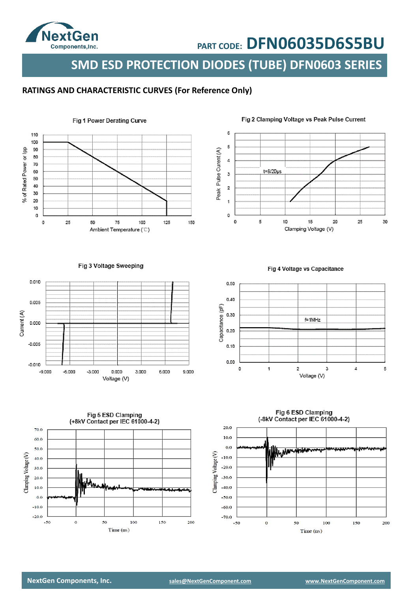

**SMD ESD PROTECTION DIODES (TUBE) DFN0603 SERIES**

#### **RATINGS AND CHARACTERISTIC CURVES (For Reference Only)**





#### Fig 2 Clamping Voltage vs Peak Pulse Current

Fig 3 Voltage Sweeping



Fig 4 Voltage vs Capacitance





Fig 6 ESD Clamping (-8kV Contact per IEC 61000-4-2)

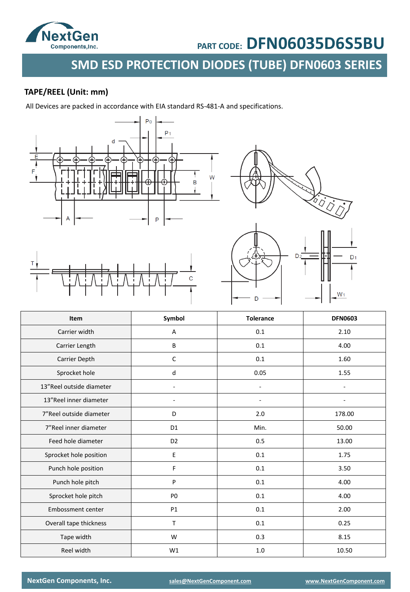

# **SMD ESD PROTECTION DIODES (TUBE) DFN0603 SERIES**

### **TAPE/REEL (Unit: mm)**

All Devices are packed in accordance with EIA standard RS-481-A and specifications.







| Item                     | Symbol         | <b>Tolerance</b> | <b>DFN0603</b> |
|--------------------------|----------------|------------------|----------------|
| Carrier width            | А              | 0.1              | 2.10           |
| Carrier Length           | B              | 0.1              | 4.00           |
| Carrier Depth            | C              | 0.1              | 1.60           |
| Sprocket hole            | d              | 0.05             | 1.55           |
| 13"Reel outside diameter |                | ÷                |                |
| 13"Reel inner diameter   |                |                  |                |
| 7"Reel outside diameter  | D              | 2.0              | 178.00         |
| 7"Reel inner diameter    | D1             | Min.             | 50.00          |
| Feed hole diameter       | D <sub>2</sub> | 0.5              | 13.00          |
| Sprocket hole position   | Е              | 0.1              | 1.75           |
| Punch hole position      | F              | 0.1              | 3.50           |
| Punch hole pitch         | P              | 0.1              | 4.00           |
| Sprocket hole pitch      | P <sub>0</sub> | 0.1              | 4.00           |
| Embossment center        | <b>P1</b>      | 0.1              | 2.00           |
| Overall tape thickness   | T              | 0.1              | 0.25           |
| Tape width               | W              | 0.3              | 8.15           |
| Reel width               | W1             | 1.0              | 10.50          |

**NextGen Components, Inc. [sales@NextGenComponent.com](mailto:sales@NextGenComponent.com) [www.NextGenComponent.com](http://www.nextgencomponent.com/)**